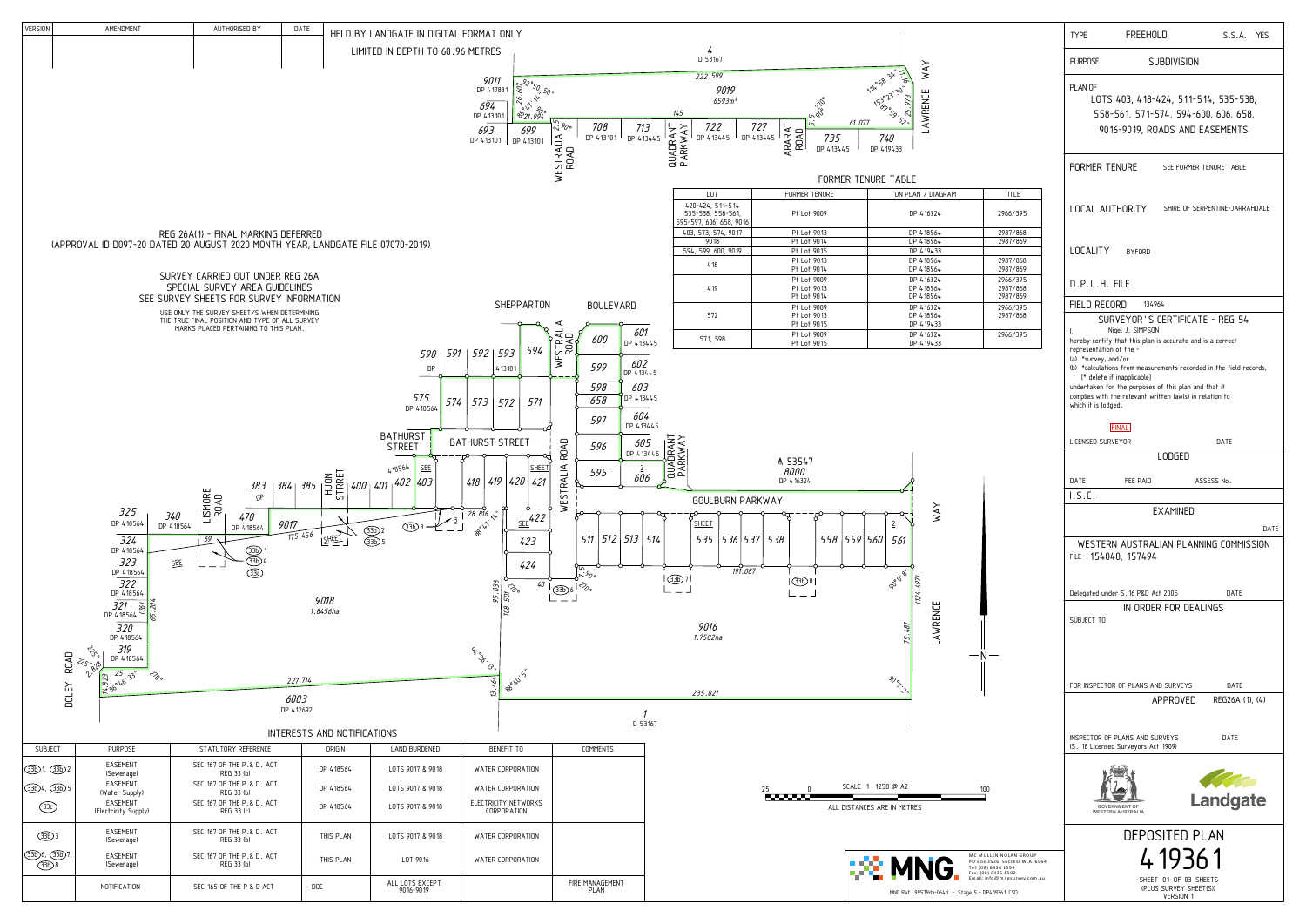| <b>TYPE</b>                                          | FREEHOLD                                                                                                                                                             |                                                                                                                | S.S.A. YES |  |  |
|------------------------------------------------------|----------------------------------------------------------------------------------------------------------------------------------------------------------------------|----------------------------------------------------------------------------------------------------------------|------------|--|--|
| <b>PURPOSE</b>                                       | <b>SUBDIVISION</b>                                                                                                                                                   |                                                                                                                |            |  |  |
| PLAN OF                                              |                                                                                                                                                                      | LOTS 403, 418-424, 511-514, 535-538,<br>558-561, 571-574, 594-600, 606, 658,<br>9016-9019, ROADS AND EASEMENTS |            |  |  |
|                                                      |                                                                                                                                                                      | FORMER TENURE SEE FORMER TENURE TABLE                                                                          |            |  |  |
|                                                      |                                                                                                                                                                      | LOCAL AUTHORITY SHIRE OF SERPENTINE-JARRAHDALE                                                                 |            |  |  |
|                                                      | LOCALITY BYFORD                                                                                                                                                      |                                                                                                                |            |  |  |
| D.P.L.H. FILE                                        |                                                                                                                                                                      |                                                                                                                |            |  |  |
|                                                      | FIELD RECORD 134964                                                                                                                                                  |                                                                                                                |            |  |  |
| I.<br>representation of the -<br>(a) *survey, and/or | Nigel J. SIMPSON<br>hereby certify that this plan is accurate and is a correct<br>[* delete if inapplicable]<br>undertaken for the purposes of this plan and that it | SURVEYOR'S CERTIFICATE - REG 54<br>(b) *calculations from measurements recorded in the field records,          |            |  |  |
| which it is lodged.                                  | complies with the relevant written law(s) in relation to                                                                                                             |                                                                                                                |            |  |  |
|                                                      | <b>FINAL</b>                                                                                                                                                         |                                                                                                                |            |  |  |
| LICENSED SURVEYOR                                    | LODGED                                                                                                                                                               | <b>DATE</b>                                                                                                    |            |  |  |
|                                                      |                                                                                                                                                                      |                                                                                                                |            |  |  |
| DATE<br>I.S.C.                                       | FEE PAID                                                                                                                                                             | ASSESS No.                                                                                                     |            |  |  |
|                                                      | <b>EXAMINED</b>                                                                                                                                                      |                                                                                                                |            |  |  |
|                                                      |                                                                                                                                                                      |                                                                                                                | DATE       |  |  |
|                                                      | FILE 154040, 157494                                                                                                                                                  | WESTERN AUSTRALIAN PLANNING COMMISSION                                                                         |            |  |  |
|                                                      | Delegated under S.16 P&D Act 2005                                                                                                                                    | DATE                                                                                                           |            |  |  |
| SUBJECT TO                                           | IN ORDER FOR DEALINGS                                                                                                                                                |                                                                                                                |            |  |  |
|                                                      |                                                                                                                                                                      | <b>DATF</b>                                                                                                    |            |  |  |
|                                                      | FOR INSPECTOR OF PLANS AND SURVEYS                                                                                                                                   | APPROVED<br>REG26A (1), (4)                                                                                    |            |  |  |
|                                                      | INSPECTOR OF PLANS AND SURVEYS<br>(S. 18 Licensed Surveyors Act 1909)                                                                                                | <b>DATF</b>                                                                                                    |            |  |  |
|                                                      | <b>GOVERNMENT OF</b><br><b>WESTERN AUSTRALIA</b>                                                                                                                     | <b>Landgate</b>                                                                                                |            |  |  |
|                                                      | DEPOSITED PLAN                                                                                                                                                       |                                                                                                                |            |  |  |
|                                                      | 4 1936 1                                                                                                                                                             |                                                                                                                |            |  |  |
|                                                      |                                                                                                                                                                      | SHEET 01 OF 03 SHEETS                                                                                          |            |  |  |

<u>Version 1</u>



| LOT                                                | FORMER TENURE                             | ON PLAN / DIAGRAM                   | <b>TITLE</b>                     |                                                                                                                                                    |  |
|----------------------------------------------------|-------------------------------------------|-------------------------------------|----------------------------------|----------------------------------------------------------------------------------------------------------------------------------------------------|--|
| 424, 511-514<br>538, 558-561,<br>7, 606, 658, 9016 | Pt Lot 9009                               | DP 416324                           | 2966/395                         | LOCAL AUTHORITY<br>SHIRE OF SERPENTINE-JARRAHDALE                                                                                                  |  |
| 573, 574, 9017                                     | Pt Lot 9013                               | DP 418564                           | 2987/868                         |                                                                                                                                                    |  |
| 9018                                               | Pt Lot 9014                               | DP 418564                           | 2987/869                         |                                                                                                                                                    |  |
| 599, 600, 9019                                     | Pt Lot 9015                               | DP 419433                           |                                  | <b>LOCALITY</b><br><b>BYFORD</b>                                                                                                                   |  |
| 418                                                | Pt Lot 9013<br>Pt Lot 9014                | DP 418564<br>DP 418564              | 2987/868<br>2987/869             |                                                                                                                                                    |  |
| 419                                                | Pt Lot 9009<br>Pt Lot 9013<br>Pt Lot 9014 | DP 416324<br>DP 418564<br>DP 418564 | 2966/395<br>2987/868<br>2987/869 | $D.P.L.H.$ FILE                                                                                                                                    |  |
|                                                    | Pt Lot 9009                               | DP 416324                           | 2966/395                         | <b>FIELD RECORD</b><br>134964<br>SURVEYOR'S CERTIFICATE - REG 54<br>Nigel J. SIMPSON<br>hereby certify that this plan is accurate and is a correct |  |
| 572                                                | Pt Lot 9013<br>Pt Lot 9015                | DP 418564<br>DP 419433              | 2987/868                         |                                                                                                                                                    |  |
| 571, 598                                           | Pt Lot 9009<br>Pt Lot 9015                | DP 416324<br>DP 419433              | 2966/395                         |                                                                                                                                                    |  |
|                                                    |                                           |                                     |                                  | representation of the -                                                                                                                            |  |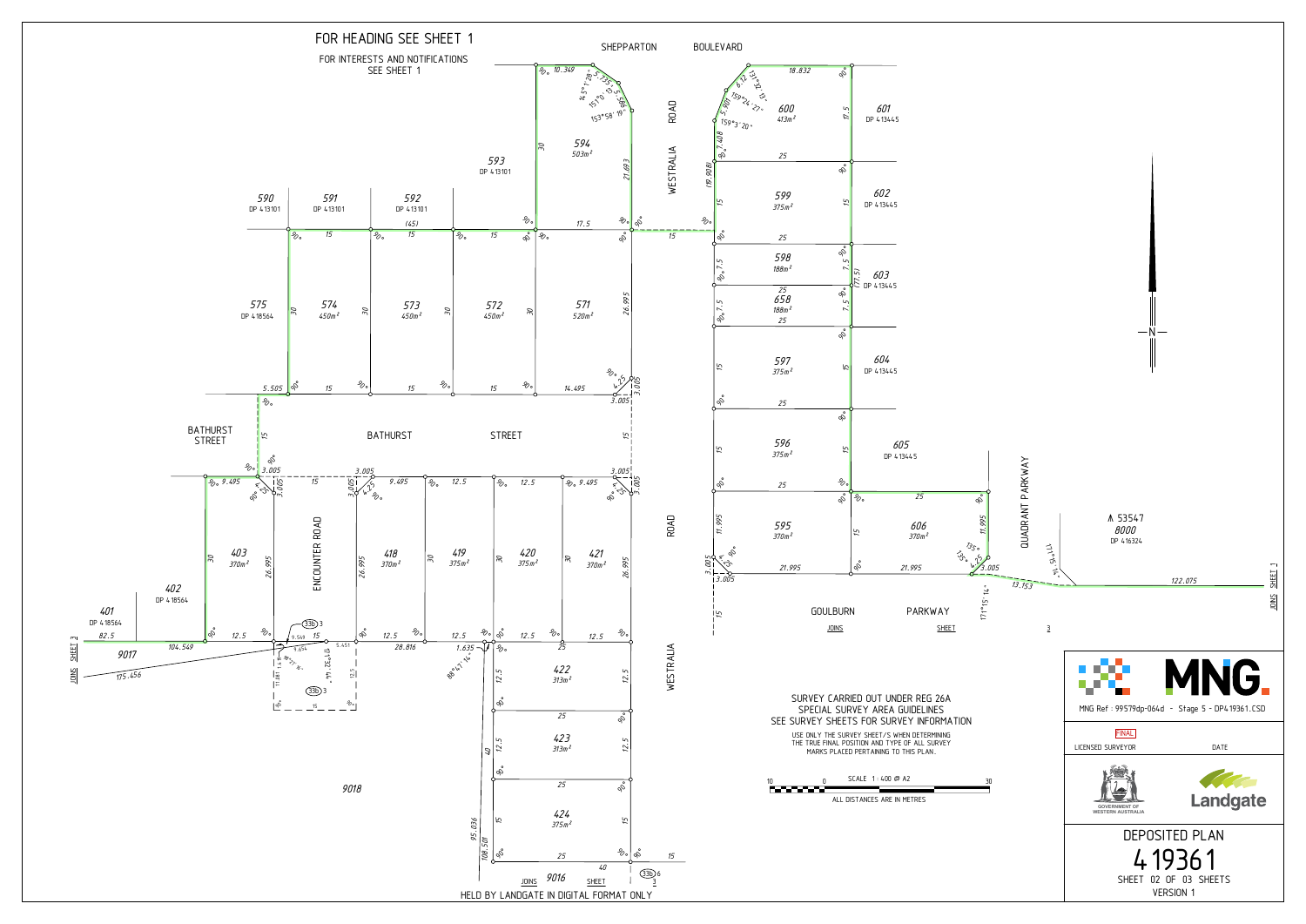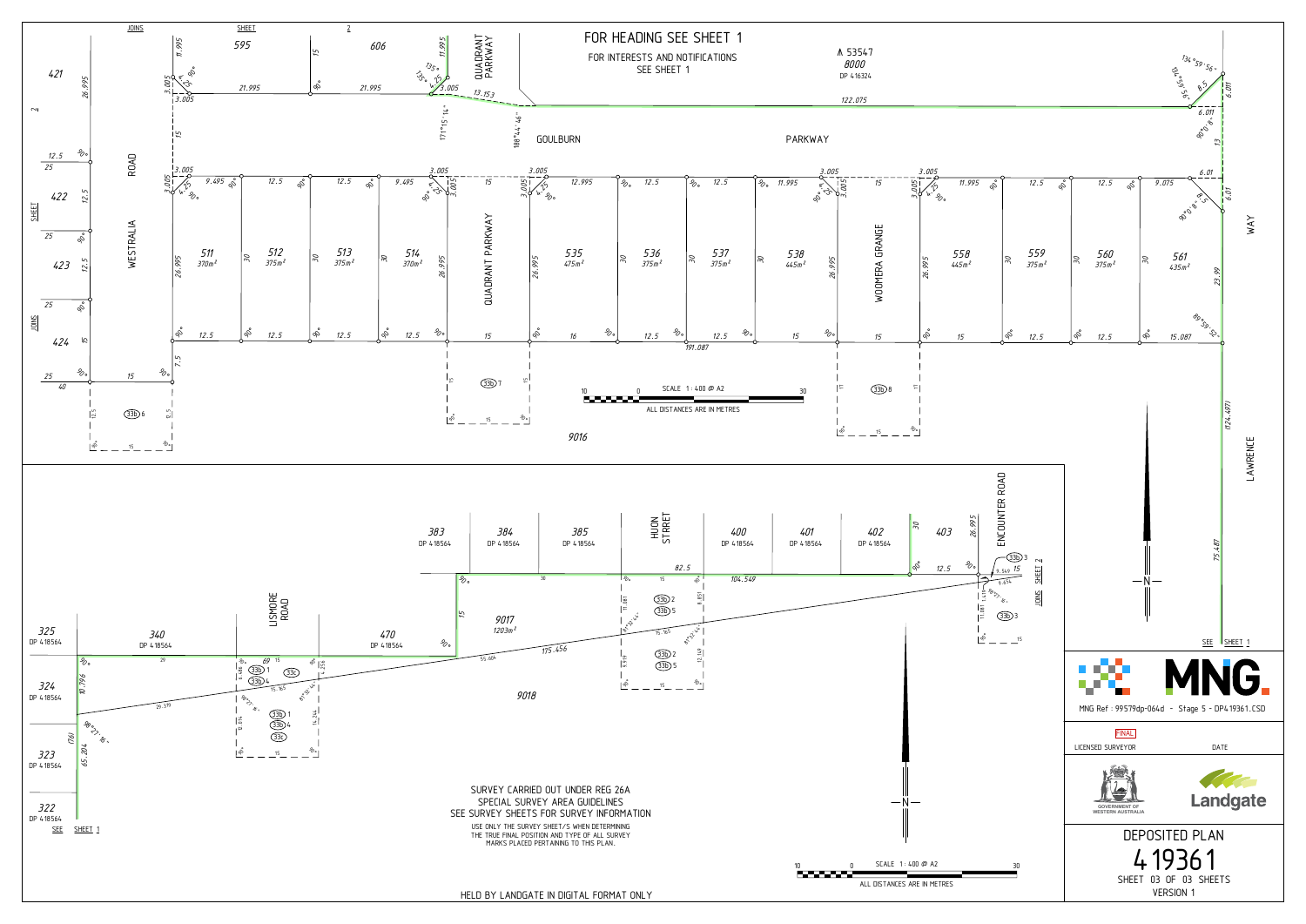